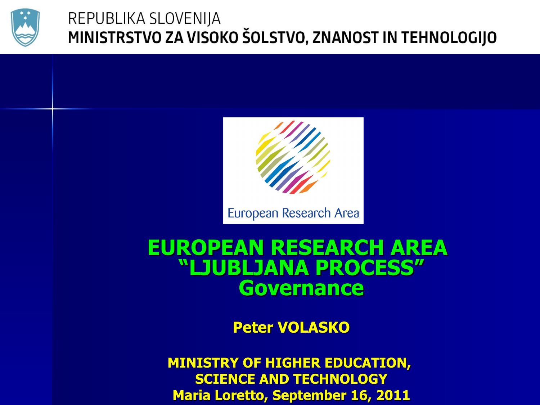



European Research Area

#### **EUROPEAN RESEARCH AREA "LJUBLJANA PROCESS" Governance**

**Peter VOLASKO**

**MINISTRY OF HIGHER EDUCATION, SCIENCE AND TECHNOLOGY Maria Loretto, September 16, 2011**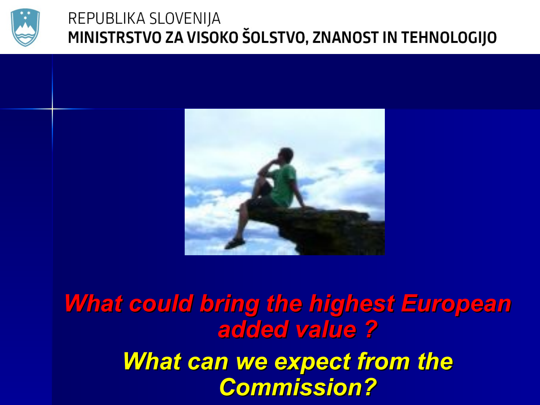



*What could bring the highest European added value ? What can we expect from the Commission?*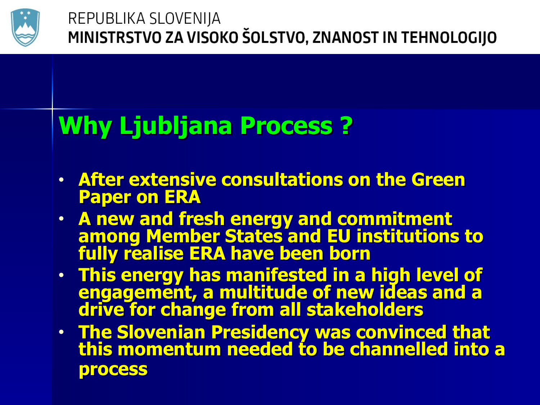

# **Why Ljubljana Process ?**

- **After extensive consultations on the Green Paper on ERA**
- **A new and fresh energy and commitment among Member States and EU institutions to fully realise ERA have been born**
- **This energy has manifested in a high level of engagement, a multitude of new ideas and a drive for change from all stakeholders**
- **The Slovenian Presidency was convinced that this momentum needed to be channelled into a process**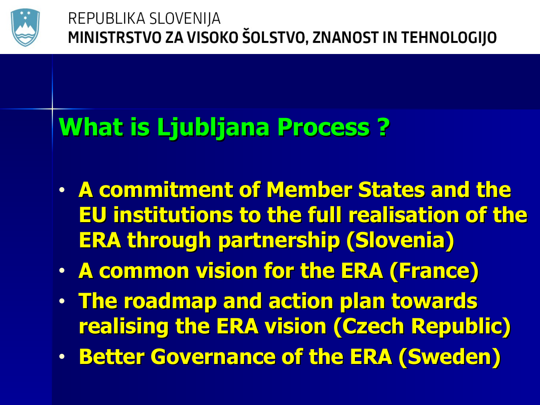

# **What is Ljubljana Process ?**

- **A commitment of Member States and the EU institutions to the full realisation of the ERA through partnership (Slovenia)**
- **A common vision for the ERA (France)**
- **The roadmap and action plan towards realising the ERA vision (Czech Republic)**
- **Better Governance of the ERA (Sweden)**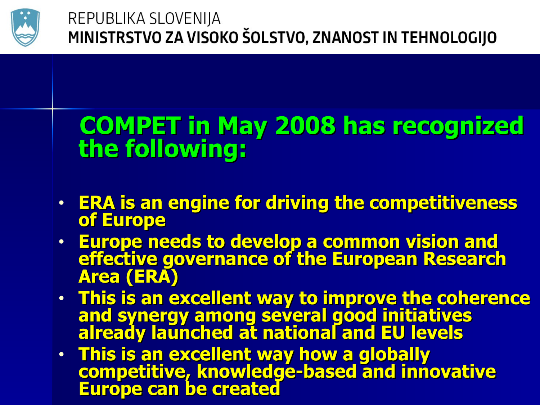

## **COMPET in May 2008 has recognized the following:**

- **ERA is an engine for driving the competitiveness of Europe**
- **Europe needs to develop a common vision and effective governance of the European Research Area (ERA)**
- **This is an excellent way to improve the coherence and synergy among several good initiatives already launched at national and EU levels**
- **This is an excellent way how a globally competitive, knowledge-based and innovative Europe can be created**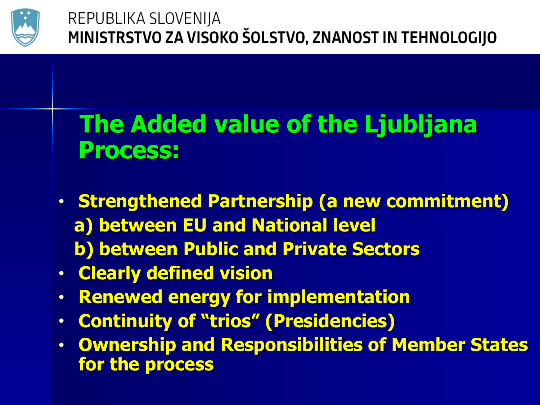

## **The Added value of the Ljubljana Process:**

- **Strengthened Partnership (a new commitment) a) between EU and National level b) between Public and Private Sectors**
- **Clearly defined vision**
- **Renewed energy for implementation**
- **Continuity of "trios" (Presidencies)**
- **Ownership and Responsibilities of Member States for the process**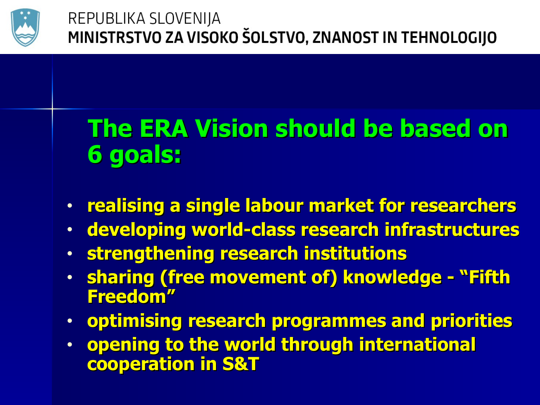

# **The ERA Vision should be based on 6 goals:**

- **realising a single labour market for researchers**
- **developing world-class research infrastructures**
- **strengthening research institutions**
- **sharing (free movement of) knowledge "Fifth Freedom"**
- **optimising research programmes and priorities**
- **opening to the world through international cooperation in S&T**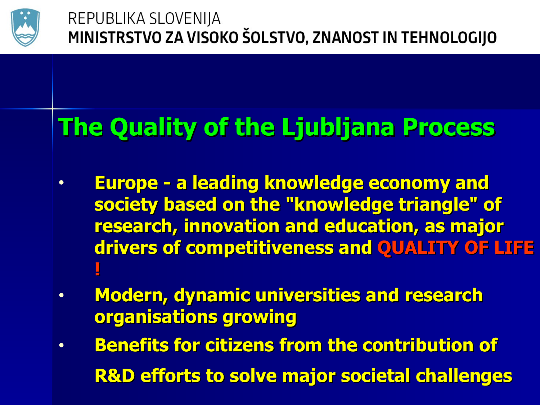

# **The Quality of the Ljubljana Process**

- **Europe a leading knowledge economy and society based on the "knowledge triangle" of research, innovation and education, as major drivers of competitiveness and QUALITY OF LIFE !**
- **Modern, dynamic universities and research organisations growing**
- **Benefits for citizens from the contribution of R&D efforts to solve major societal challenges**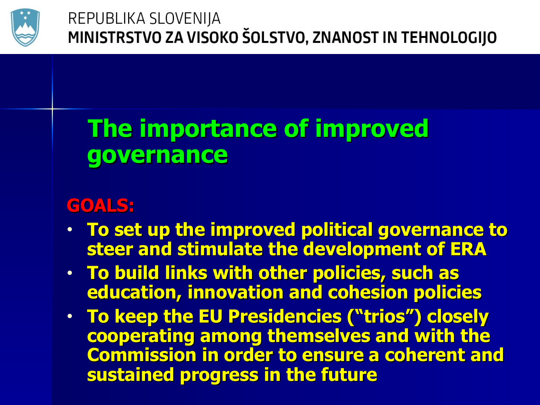

## **The importance of improved governance**

#### **GOALS:**

- **To set up the improved political governance to steer and stimulate the development of ERA**
- **To build links with other policies, such as education, innovation and cohesion policies**
- **To keep the EU Presidencies ("trios") closely cooperating among themselves and with the Commission in order to ensure a coherent and sustained progress in the future**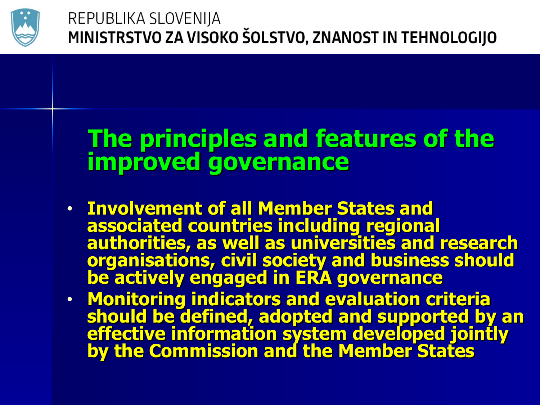

### **The principles and features of the improved governance**

- **Involvement of all Member States and associated countries including regional authorities, as well as universities and research organisations, civil society and business should be actively engaged in ERA governance**
- **Monitoring indicators and evaluation criteria should be defined, adopted and supported by an effective information system developed jointly by the Commission and the Member States**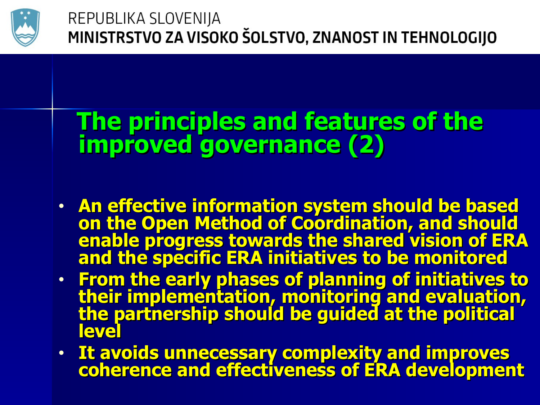

## **The principles and features of the improved governance (2)**

- **An effective information system should be based on the Open Method of Coordination, and should enable progress towards the shared vision of ERA and the specific ERA initiatives to be monitored**
- **From the early phases of planning of initiatives to their implementation, monitoring and evaluation, the partnership should be guided at the political level**
- **It avoids unnecessary complexity and improves coherence and effectiveness of ERA development**